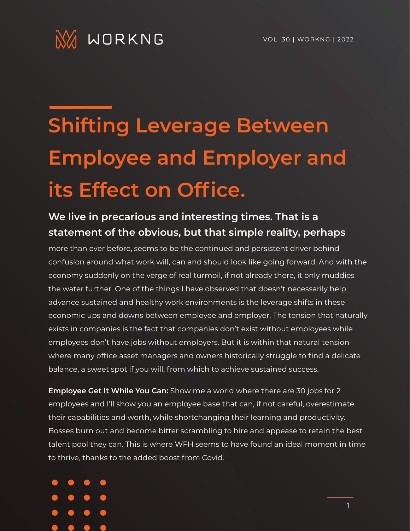

## **Shifting Leverage Between Employee and Employer and its Effect on Office.**

## **We live in precarious and interesting times. That is a statement of the obvious, but that simple reality, perhaps**

more than ever before, seems to be the continued and persistent driver behind confusion around what work will, can and should look like going forward. And with the economy suddenly on the verge of real turmoil, if not already there, it only muddies the water further. One of the things I have observed that doesn't necessarily help advance sustained and healthy work environments is the leverage shifts in these economic ups and downs between employee and employer. The tension that naturally exists in companies is the fact that companies don't exist without employees while employees don't have jobs without employers. But it is within that natural tension where many office asset managers and owners historically struggle to find a delicate balance, a sweet spot if you will, from which to achieve sustained success.

**Employee Get It While You Can:** Show me a world where there are 30 jobs for 2 employees and I'll show you an employee base that can, if not careful, overestimate their capabilities and worth, while shortchanging their learning and productivity. Bosses burn out and become bitter scrambling to hire and appease to retain the best talent pool they can. This is where WFH seems to have found an ideal moment in time to thrive, thanks to the added boost from Covid.

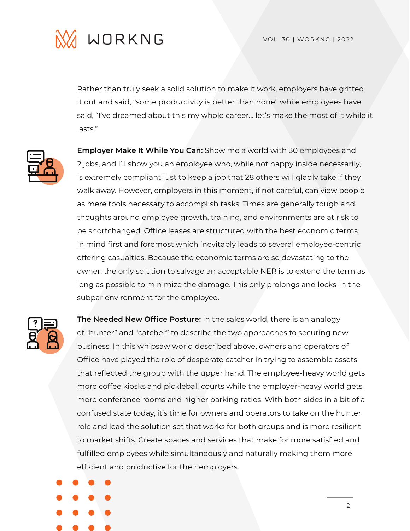



Rather than truly seek a solid solution to make it work, employers have gritted it out and said, "some productivity is better than none" while employees have said, "I've dreamed about this my whole career… let's make the most of it while it lasts."



**Employer Make It While You Can:** Show me a world with 30 employees and 2 jobs, and I'll show you an employee who, while not happy inside necessarily, is extremely compliant just to keep a job that 28 others will gladly take if they walk away. However, employers in this moment, if not careful, can view people as mere tools necessary to accomplish tasks. Times are generally tough and thoughts around employee growth, training, and environments are at risk to be shortchanged. Office leases are structured with the best economic terms in mind first and foremost which inevitably leads to several employee-centric offering casualties. Because the economic terms are so devastating to the owner, the only solution to salvage an acceptable NER is to extend the term as long as possible to minimize the damage. This only prolongs and locks-in the subpar environment for the employee.



**The Needed New Office Posture:** In the sales world, there is an analogy of "hunter" and "catcher" to describe the two approaches to securing new business. In this whipsaw world described above, owners and operators of Office have played the role of desperate catcher in trying to assemble assets that reflected the group with the upper hand. The employee-heavy world gets more coffee kiosks and pickleball courts while the employer-heavy world gets more conference rooms and higher parking ratios. With both sides in a bit of a confused state today, it's time for owners and operators to take on the hunter role and lead the solution set that works for both groups and is more resilient to market shifts. Create spaces and services that make for more satisfied and fulfilled employees while simultaneously and naturally making them more efficient and productive for their employers.